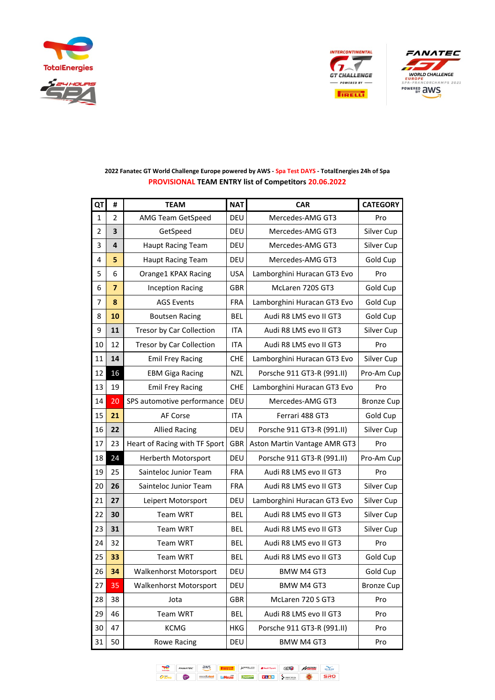





| QT             | #              | <b>TEAM</b>                   | <b>NAT</b> | <b>CAR</b>                   | <b>CATEGORY</b>   |
|----------------|----------------|-------------------------------|------------|------------------------------|-------------------|
| 1              | 2              | AMG Team GetSpeed             | DEU        | Mercedes-AMG GT3             | Pro               |
| $\overline{2}$ | 3              | GetSpeed                      | DEU        | Mercedes-AMG GT3             | Silver Cup        |
| 3              | 4              | <b>Haupt Racing Team</b>      | DEU        | Mercedes-AMG GT3             | Silver Cup        |
| 4              | 5              | <b>Haupt Racing Team</b>      | <b>DEU</b> | Mercedes-AMG GT3             | Gold Cup          |
| 5              | 6              | Orange1 KPAX Racing           | <b>USA</b> | Lamborghini Huracan GT3 Evo  | Pro               |
| 6              | $\overline{7}$ | <b>Inception Racing</b>       | <b>GBR</b> | McLaren 720S GT3             | Gold Cup          |
| 7              | 8              | <b>AGS Events</b>             | <b>FRA</b> | Lamborghini Huracan GT3 Evo  | Gold Cup          |
| 8              | 10             | <b>Boutsen Racing</b>         | <b>BEL</b> | Audi R8 LMS evo II GT3       | Gold Cup          |
| 9              | 11             | Tresor by Car Collection      | <b>ITA</b> | Audi R8 LMS evo II GT3       | Silver Cup        |
| 10             | 12             | Tresor by Car Collection      | <b>ITA</b> | Audi R8 LMS evo II GT3       | Pro               |
| 11             | 14             | <b>Emil Frey Racing</b>       | <b>CHE</b> | Lamborghini Huracan GT3 Evo  | Silver Cup        |
| 12             | 16             | <b>EBM Giga Racing</b>        | <b>NZL</b> | Porsche 911 GT3-R (991.II)   | Pro-Am Cup        |
| 13             | 19             | <b>Emil Frey Racing</b>       | <b>CHE</b> | Lamborghini Huracan GT3 Evo  | Pro               |
| 14             | 20             | SPS automotive performance    | DEU        | Mercedes-AMG GT3             | <b>Bronze Cup</b> |
| 15             | 21             | AF Corse                      | <b>ITA</b> | Ferrari 488 GT3              | Gold Cup          |
| 16             | 22             | <b>Allied Racing</b>          | DEU        | Porsche 911 GT3-R (991.II)   | Silver Cup        |
| 17             | 23             | Heart of Racing with TF Sport | GBR        | Aston Martin Vantage AMR GT3 | Pro               |
| 18             | 24             | Herberth Motorsport           | DEU        | Porsche 911 GT3-R (991.II)   | Pro-Am Cup        |
| 19             | 25             | Sainteloc Junior Team         | <b>FRA</b> | Audi R8 LMS evo II GT3       | Pro               |
| 20             | 26             | Sainteloc Junior Team         | <b>FRA</b> | Audi R8 LMS evo II GT3       | Silver Cup        |
| 21             | 27             | Leipert Motorsport            | DEU        | Lamborghini Huracan GT3 Evo  | Silver Cup        |
| 22             | 30             | <b>Team WRT</b>               | <b>BEL</b> | Audi R8 LMS evo II GT3       | Silver Cup        |
| 23             | 31             | <b>Team WRT</b>               | <b>BEL</b> | Audi R8 LMS evo II GT3       | Silver Cup        |
| 24             | 32             | <b>Team WRT</b>               | <b>BEL</b> | Audi R8 LMS evo II GT3       | Pro               |
| 25             | 33             | <b>Team WRT</b>               | <b>BEL</b> | Audi R8 LMS evo II GT3       | Gold Cup          |
| 26             | 34             | Walkenhorst Motorsport        | <b>DEU</b> | <b>BMW M4 GT3</b>            | Gold Cup          |
| 27             | 35             | Walkenhorst Motorsport        | DEU        | BMW M4 GT3                   | <b>Bronze Cup</b> |
| 28             | 38             | Jota                          | GBR        | McLaren 720 S GT3            | Pro               |
| 29             | 46             | <b>Team WRT</b>               | <b>BEL</b> | Audi R8 LMS evo II GT3       | Pro               |
| 30             | 47             | <b>KCMG</b>                   | HKG        | Porsche 911 GT3-R (991.II)   | Pro               |
| 31             | 50             | <b>Rowe Racing</b>            | DEU        | <b>BMW M4 GT3</b>            | Pro               |

## **2022 Fanatec GT World Challenge Europe powered by AWS - Spa Test DAYS - TotalEnergies 24h of Spa PROVISIONAL TEAM ENTRY list of Competitors 20.06.2022**